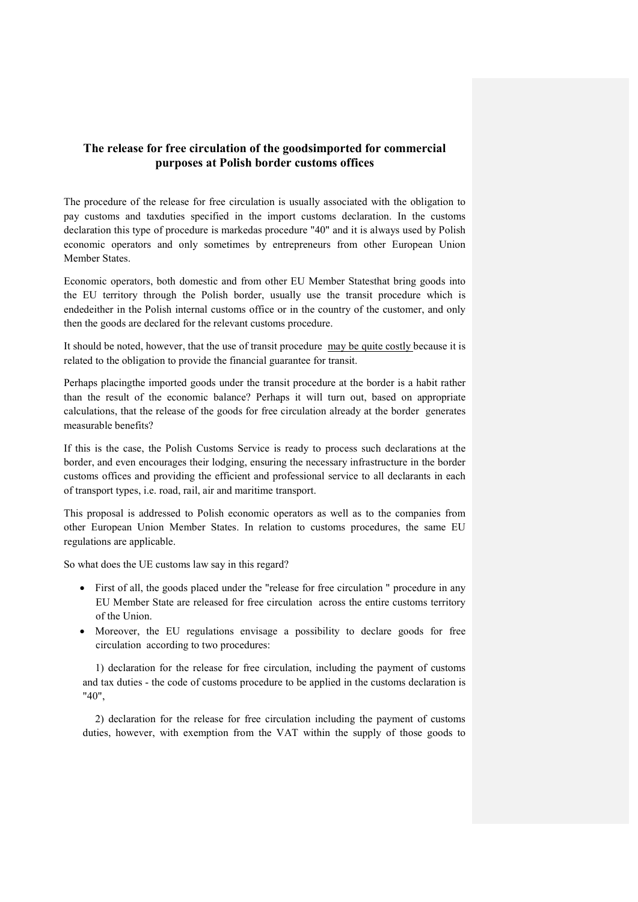## **The release for free circulation of the goodsimported for commercial purposes at Polish border customs offices**

The procedure of the release for free circulation is usually associated with the obligation to pay customs and taxduties specified in the import customs declaration. In the customs declaration this type of procedure is markedas procedure "40" and it is always used by Polish economic operators and only sometimes by entrepreneurs from other European Union Member States.

Economic operators, both domestic and from other EU Member Statesthat bring goods into the EU territory through the Polish border, usually use the transit procedure which is endedeither in the Polish internal customs office or in the country of the customer, and only then the goods are declared for the relevant customs procedure.

It should be noted, however, that the use of transit procedure may be quite costly because it is related to the obligation to provide the financial guarantee for transit.

Perhaps placingthe imported goods under the transit procedure at the border is a habit rather than the result of the economic balance? Perhaps it will turn out, based on appropriate calculations, that the release of the goods for free circulation already at the border generates measurable benefits?

If this is the case, the Polish Customs Service is ready to process such declarations at the border, and even encourages their lodging, ensuring the necessary infrastructure in the border customs offices and providing the efficient and professional service to all declarants in each of transport types, i.e. road, rail, air and maritime transport.

This proposal is addressed to Polish economic operators as well as to the companies from other European Union Member States. In relation to customs procedures, the same EU regulations are applicable.

So what does the UE customs law say in this regard?

- First of all, the goods placed under the "release for free circulation " procedure in any EU Member State are released for free circulation across the entire customs territory of the Union.
- Moreover, the EU regulations envisage a possibility to declare goods for free circulation according to two procedures:

1) declaration for the release for free circulation, including the payment of customs and tax duties - the code of customs procedure to be applied in the customs declaration is "40",

2) declaration for the release for free circulation including the payment of customs duties, however, with exemption from the VAT within the supply of those goods to